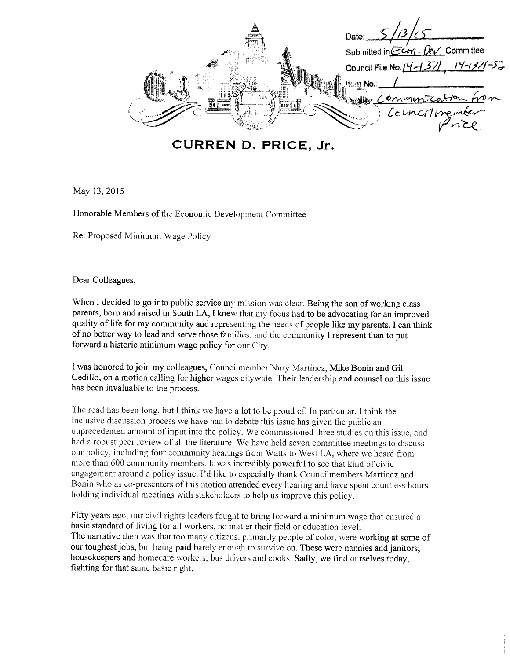Date: Submitted in CLen - Dev. Committee Council File No: 14-137 **Item No** 

CURREN D. PRICE, Jr.

May 13, 2015

Honorable Members of the Economic Development Committee

Re: Proposed Minimum Wage Policy

Dear Colleagues,

When I decided to go into public service my mission was clear. Being the son of working class parents, born and raised in South LA, I knew that my focus had to be advocating for an improved quality of life for my community and representing the needs of people like my parents. I can think of no better way to lead and serve those families, and the community I represent than to put forward a historic minimum wage policy for our City.

I was honored to join my colleagues, Councilmember Nury Martinez, Mike Bonin and Gil Cedillo, on a motion calling for higher wages citywide. Their leadership and counsel on this issue has been invaluable to the process.

The road has been long, but I think we have a lot to be proud of. In particular, I think the inclusive discussion process we have had to debate this issue has given the public an unprecedented amount of input into the policy. We commissioned three studies on this issue, and had a robust peer review of all the literature. We have held seven committee meetings to discuss our policy, including four community hearings from Watts to West LA, where we heard from more than 600 community members. It was incredibly powerful to see that kind of civic engagement around a policy issue. I'd like to especially thank Councilmembers Martinez and Bonin who as co-presenters of this motion attended every hearing and have spent countless hours holding individual meetings with stakeholders to help us improve this policy.

Fifty years ago, our civil rights leaders fought to bring forward a minimum wage that ensured a basic standard of living for all workers, no matter their field or education level. The narrative then was that too many citizens, primarily people of color, were working at some of our toughest jobs, but being paid barely enough to survive on. These were nannies and janitors; housekeepers and homecare workers; bus drivers and cooks. Sadly, we find ourselves today, fighting for that same basic right.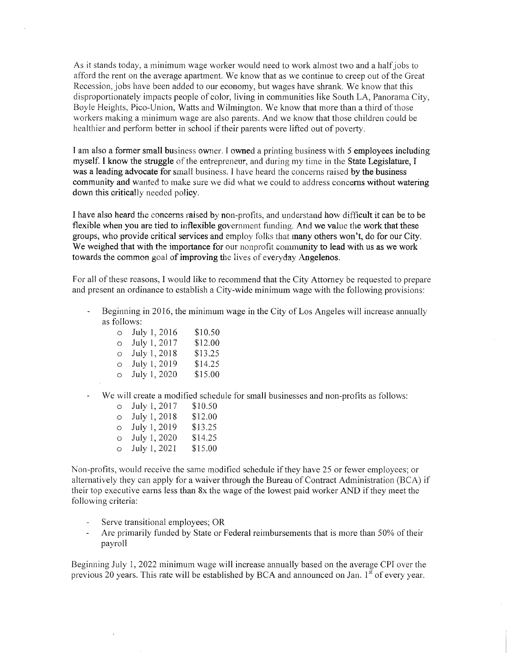As it stands today, a minimum wage worker would need to work almost two and a half jobs to afford the rent on the average apartment. We know that as we continue to creep out of the Great Recession, jobs have been added to our economy, but wages have shrank. We know that this disproportionately impacts people of color, living in communities like South LA, Panorama City, Boyle Heights, Pico-Union, Watts and Wilmington. We know that more than a third of those workers making a minimum wage are also parents. And we know that those children could be healthier and perform better in school if their parents were lifted out of poverty.

I am also a former small business owner. I owned a printing business with 5 employees including myself. I know the struggle of the entrepreneur, and during my time in the State Legislature, I was a leading advocate for small business. I have heard the concerns raised by the business community and wanted to make sure we did what we could to address concerns without watering down this critically needed policy.

I have also heard the concerns raised by non-profits, and understand how difficult it can be to be flexible when you are tied to inflexible government funding. And we value the work that these groups, who provide critical services and employ folks that many others won't, do for our City. We weighed that with the importance for our nonprofit community to lead with us as we work towards the common goal of improving the lives of everyday Angelenos.

For all of these reasons, I would like to recommend that the City Attorney be requested to prepare and present an ordinance to establish a City-wide minimum wage with the following provisions:

Beginning in 2016, the minimum wage in the City of Los Angeles will increase annually as follows:

| $\circ$ | July 1, 2016 | \$10.50 |
|---------|--------------|---------|
| $\circ$ | July 1, 2017 | \$12.00 |
| $\circ$ | July 1, 2018 | \$13.25 |
| $\circ$ | July 1, 2019 | \$14.25 |
| $\circ$ | July 1, 2020 | \$15.00 |

We will create a modified schedule for small businesses and non-profits as follows:

| O       | July 1, 2017 | \$10.50 |
|---------|--------------|---------|
| O       | July 1, 2018 | \$12.00 |
| $\circ$ | July 1, 2019 | \$13.25 |
| O       | July 1, 2020 | \$14.25 |
| $\circ$ | July 1, 2021 | \$15.00 |

Non-profits, would receive the same modified schedule if they have 25 or fewer employees; or alternatively they can apply for a waiver through the Bureau of Contract Administration (BCA) if their top executive earns less than 8x the wage of the lowest paid worker AND if they meet the following criteria:

- Serve transitional employees; OR
- Are primarily funded by State or Federal reimbursements that is more than 50% of their payroll

Beginning July 1, 2022 minimum wage will increase annually based on the average CPI over the previous 20 years. This rate will be established by BCA and announced on Jan.  $1<sup>st</sup>$  of every year.